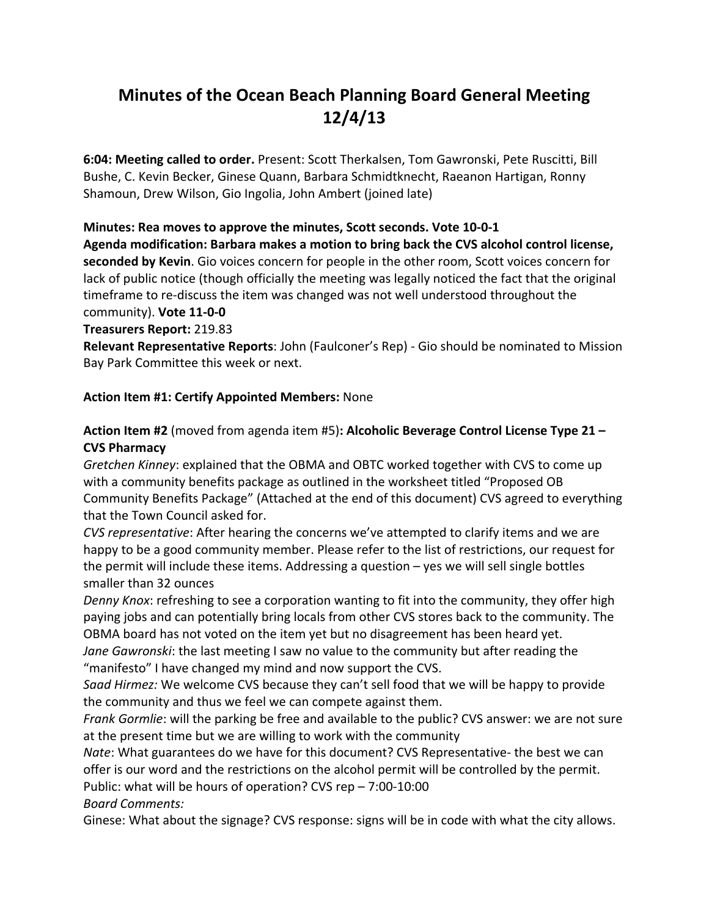# **Minutes of the Ocean Beach Planning Board General Meeting 12/4/13**

**6:04: Meeting called to order.** Present: Scott Therkalsen, Tom Gawronski, Pete Ruscitti, Bill Bushe, C. Kevin Becker, Ginese Quann, Barbara Schmidtknecht, Raeanon Hartigan, Ronny Shamoun, Drew Wilson, Gio Ingolia, John Ambert (joined late)

#### **Minutes: Rea moves to approve the minutes, Scott seconds. Vote 10-0-1**

**Agenda modification: Barbara makes a motion to bring back the CVS alcohol control license, seconded by Kevin**. Gio voices concern for people in the other room, Scott voices concern for lack of public notice (though officially the meeting was legally noticed the fact that the original timeframe to re-discuss the item was changed was not well understood throughout the community). **Vote 11-0-0** 

**Treasurers Report:** 219.83

**Relevant Representative Reports**: John (Faulconer's Rep) - Gio should be nominated to Mission Bay Park Committee this week or next.

#### **Action Item #1: Certify Appointed Members:** None

#### **Action Item #2** (moved from agenda item #5)**: Alcoholic Beverage Control License Type 21 – CVS Pharmacy**

*Gretchen Kinney*: explained that the OBMA and OBTC worked together with CVS to come up with a community benefits package as outlined in the worksheet titled "Proposed OB Community Benefits Package" (Attached at the end of this document) CVS agreed to everything that the Town Council asked for.

*CVS representative*: After hearing the concerns we've attempted to clarify items and we are happy to be a good community member. Please refer to the list of restrictions, our request for the permit will include these items. Addressing a question – yes we will sell single bottles smaller than 32 ounces

*Denny Knox*: refreshing to see a corporation wanting to fit into the community, they offer high paying jobs and can potentially bring locals from other CVS stores back to the community. The OBMA board has not voted on the item yet but no disagreement has been heard yet.

*Jane Gawronski*: the last meeting I saw no value to the community but after reading the "manifesto" I have changed my mind and now support the CVS.

*Saad Hirmez:* We welcome CVS because they can't sell food that we will be happy to provide the community and thus we feel we can compete against them.

*Frank Gormlie*: will the parking be free and available to the public? CVS answer: we are not sure at the present time but we are willing to work with the community

*Nate*: What guarantees do we have for this document? CVS Representative- the best we can offer is our word and the restrictions on the alcohol permit will be controlled by the permit.

Public: what will be hours of operation? CVS rep – 7:00-10:00

*Board Comments:*

Ginese: What about the signage? CVS response: signs will be in code with what the city allows.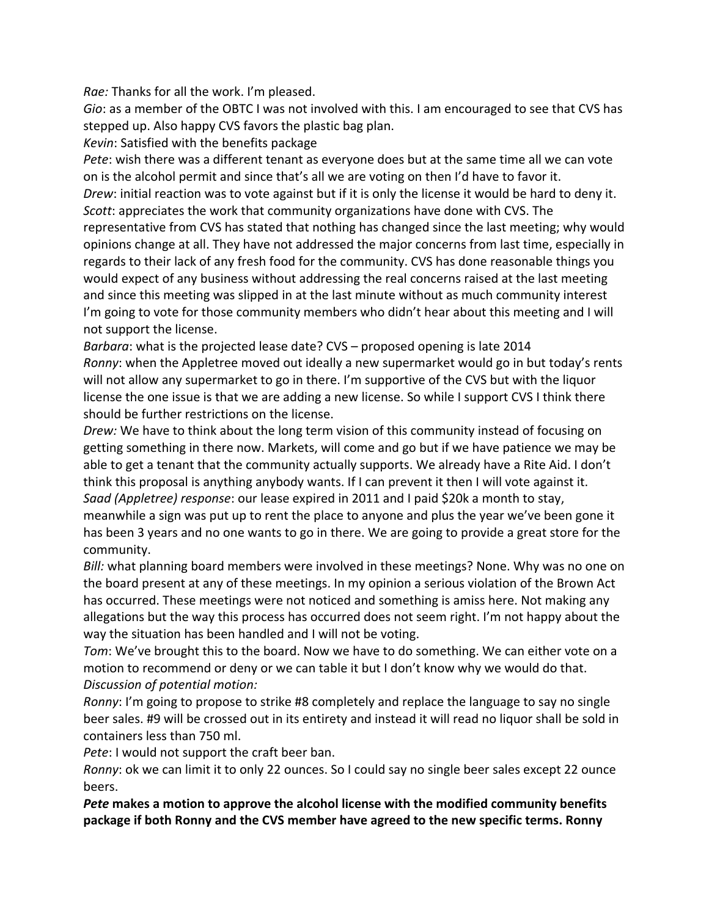*Rae:* Thanks for all the work. I'm pleased.

*Gio*: as a member of the OBTC I was not involved with this. I am encouraged to see that CVS has stepped up. Also happy CVS favors the plastic bag plan.

*Kevin*: Satisfied with the benefits package

*Pete*: wish there was a different tenant as everyone does but at the same time all we can vote on is the alcohol permit and since that's all we are voting on then I'd have to favor it. *Drew*: initial reaction was to vote against but if it is only the license it would be hard to deny it. *Scott*: appreciates the work that community organizations have done with CVS. The representative from CVS has stated that nothing has changed since the last meeting; why would opinions change at all. They have not addressed the major concerns from last time, especially in regards to their lack of any fresh food for the community. CVS has done reasonable things you would expect of any business without addressing the real concerns raised at the last meeting and since this meeting was slipped in at the last minute without as much community interest I'm going to vote for those community members who didn't hear about this meeting and I will not support the license.

*Barbara*: what is the projected lease date? CVS – proposed opening is late 2014 *Ronny*: when the Appletree moved out ideally a new supermarket would go in but today's rents will not allow any supermarket to go in there. I'm supportive of the CVS but with the liquor license the one issue is that we are adding a new license. So while I support CVS I think there should be further restrictions on the license.

*Drew:* We have to think about the long term vision of this community instead of focusing on getting something in there now. Markets, will come and go but if we have patience we may be able to get a tenant that the community actually supports. We already have a Rite Aid. I don't think this proposal is anything anybody wants. If I can prevent it then I will vote against it. *Saad (Appletree) response*: our lease expired in 2011 and I paid \$20k a month to stay, meanwhile a sign was put up to rent the place to anyone and plus the year we've been gone it has been 3 years and no one wants to go in there. We are going to provide a great store for the community.

*Bill:* what planning board members were involved in these meetings? None. Why was no one on the board present at any of these meetings. In my opinion a serious violation of the Brown Act has occurred. These meetings were not noticed and something is amiss here. Not making any allegations but the way this process has occurred does not seem right. I'm not happy about the way the situation has been handled and I will not be voting.

*Tom*: We've brought this to the board. Now we have to do something. We can either vote on a motion to recommend or deny or we can table it but I don't know why we would do that. *Discussion of potential motion:*

*Ronny*: I'm going to propose to strike #8 completely and replace the language to say no single beer sales. #9 will be crossed out in its entirety and instead it will read no liquor shall be sold in containers less than 750 ml.

*Pete*: I would not support the craft beer ban.

*Ronny*: ok we can limit it to only 22 ounces. So I could say no single beer sales except 22 ounce beers.

*Pete* **makes a motion to approve the alcohol license with the modified community benefits package if both Ronny and the CVS member have agreed to the new specific terms. Ronny**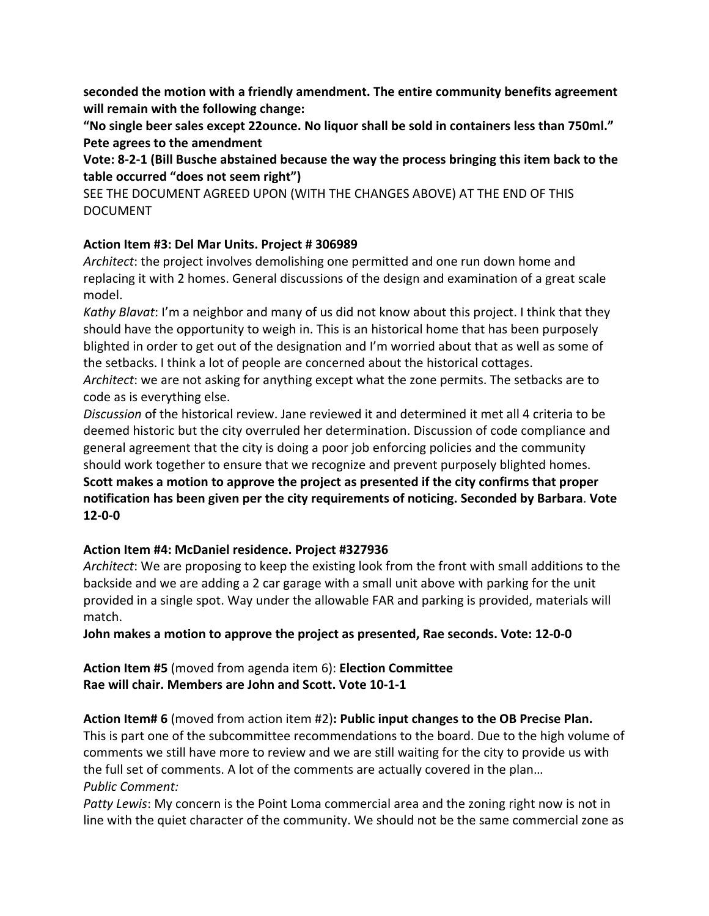**seconded the motion with a friendly amendment. The entire community benefits agreement will remain with the following change:**

**"No single beer sales except 22ounce. No liquor shall be sold in containers less than 750ml." Pete agrees to the amendment**

**Vote: 8-2-1 (Bill Busche abstained because the way the process bringing this item back to the table occurred "does not seem right")**

SEE THE DOCUMENT AGREED UPON (WITH THE CHANGES ABOVE) AT THE END OF THIS DOCUMENT

#### **Action Item #3: Del Mar Units. Project # 306989**

*Architect*: the project involves demolishing one permitted and one run down home and replacing it with 2 homes. General discussions of the design and examination of a great scale model.

*Kathy Blavat*: I'm a neighbor and many of us did not know about this project. I think that they should have the opportunity to weigh in. This is an historical home that has been purposely blighted in order to get out of the designation and I'm worried about that as well as some of the setbacks. I think a lot of people are concerned about the historical cottages.

*Architect*: we are not asking for anything except what the zone permits. The setbacks are to code as is everything else.

*Discussion* of the historical review. Jane reviewed it and determined it met all 4 criteria to be deemed historic but the city overruled her determination. Discussion of code compliance and general agreement that the city is doing a poor job enforcing policies and the community should work together to ensure that we recognize and prevent purposely blighted homes. **Scott makes a motion to approve the project as presented if the city confirms that proper notification has been given per the city requirements of noticing. Seconded by Barbara**. **Vote 12-0-0**

#### **Action Item #4: McDaniel residence. Project #327936**

*Architect*: We are proposing to keep the existing look from the front with small additions to the backside and we are adding a 2 car garage with a small unit above with parking for the unit provided in a single spot. Way under the allowable FAR and parking is provided, materials will match.

**John makes a motion to approve the project as presented, Rae seconds. Vote: 12-0-0**

**Action Item #5** (moved from agenda item 6): **Election Committee Rae will chair. Members are John and Scott. Vote 10-1-1**

**Action Item# 6** (moved from action item #2)**: Public input changes to the OB Precise Plan.** This is part one of the subcommittee recommendations to the board. Due to the high volume of comments we still have more to review and we are still waiting for the city to provide us with the full set of comments. A lot of the comments are actually covered in the plan… *Public Comment:*

*Patty Lewis*: My concern is the Point Loma commercial area and the zoning right now is not in line with the quiet character of the community. We should not be the same commercial zone as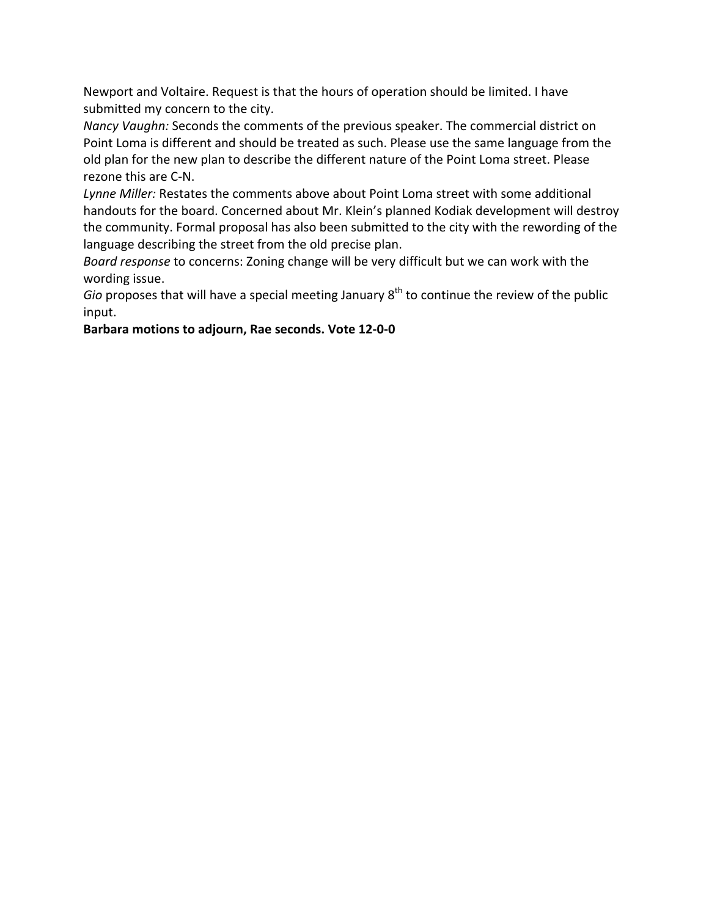Newport and Voltaire. Request is that the hours of operation should be limited. I have submitted my concern to the city.

*Nancy Vaughn:* Seconds the comments of the previous speaker. The commercial district on Point Loma is different and should be treated as such. Please use the same language from the old plan for the new plan to describe the different nature of the Point Loma street. Please rezone this are C-N.

*Lynne Miller:* Restates the comments above about Point Loma street with some additional handouts for the board. Concerned about Mr. Klein's planned Kodiak development will destroy the community. Formal proposal has also been submitted to the city with the rewording of the language describing the street from the old precise plan.

*Board response* to concerns: Zoning change will be very difficult but we can work with the wording issue.

*Gio* proposes that will have a special meeting January 8<sup>th</sup> to continue the review of the public input.

#### **Barbara motions to adjourn, Rae seconds. Vote 12-0-0**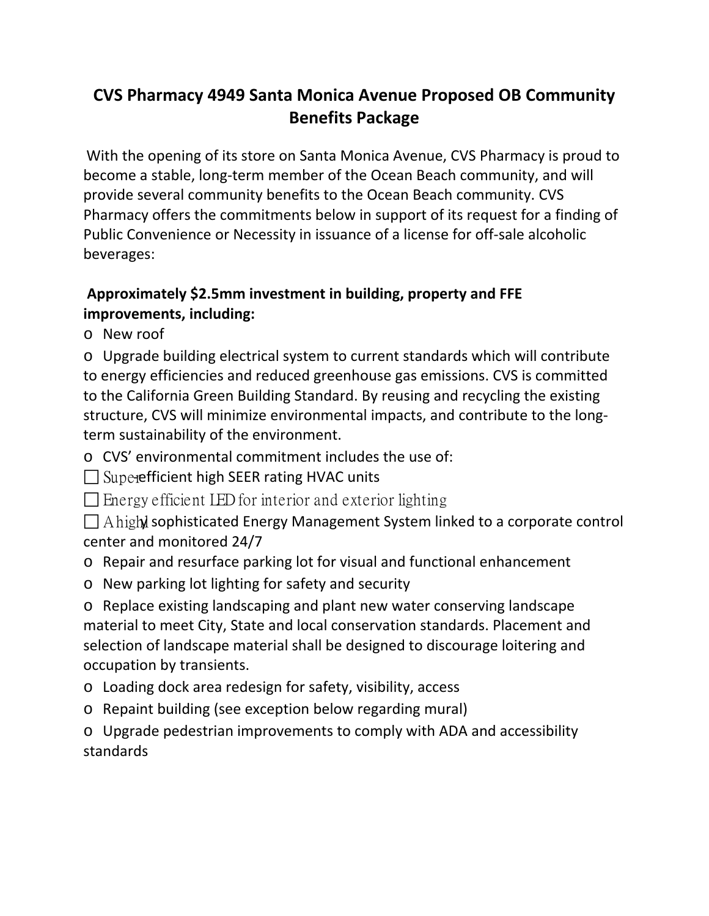# **CVS Pharmacy 4949 Santa Monica Avenue Proposed OB Community Benefits Package**

With the opening of its store on Santa Monica Avenue, CVS Pharmacy is proud to become a stable, long-term member of the Ocean Beach community, and will provide several community benefits to the Ocean Beach community. CVS Pharmacy offers the commitments below in support of its request for a finding of Public Convenience or Necessity in issuance of a license for off-sale alcoholic beverages:

## **Approximately \$2.5mm investment in building, property and FFE improvements, including:**

o New roof

o Upgrade building electrical system to current standards which will contribute to energy efficiencies and reduced greenhouse gas emissions. CVS is committed to the California Green Building Standard. By reusing and recycling the existing structure, CVS will minimize environmental impacts, and contribute to the longterm sustainability of the environment.

o CVS' environmental commitment includes the use of:

 $\Box$  Superefficient high SEER rating HVAC units

 $\Box$  Energy efficient LED for interior and exterior lighting

 $\Box$  A high sophisticated Energy Management System linked to a corporate control center and monitored 24/7

o Repair and resurface parking lot for visual and functional enhancement

o New parking lot lighting for safety and security

o Replace existing landscaping and plant new water conserving landscape material to meet City, State and local conservation standards. Placement and selection of landscape material shall be designed to discourage loitering and occupation by transients.

o Loading dock area redesign for safety, visibility, access

o Repaint building (see exception below regarding mural)

o Upgrade pedestrian improvements to comply with ADA and accessibility standards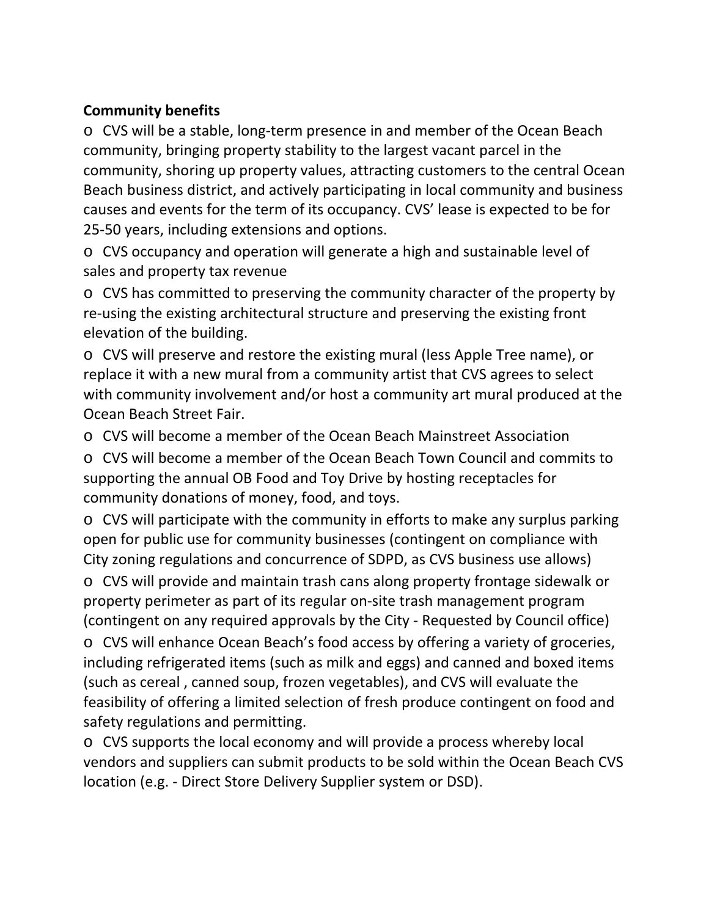### **Community benefits**

o CVS will be a stable, long-term presence in and member of the Ocean Beach community, bringing property stability to the largest vacant parcel in the community, shoring up property values, attracting customers to the central Ocean Beach business district, and actively participating in local community and business causes and events for the term of its occupancy. CVS' lease is expected to be for 25-50 years, including extensions and options.

o CVS occupancy and operation will generate a high and sustainable level of sales and property tax revenue

o CVS has committed to preserving the community character of the property by re-using the existing architectural structure and preserving the existing front elevation of the building.

o CVS will preserve and restore the existing mural (less Apple Tree name), or replace it with a new mural from a community artist that CVS agrees to select with community involvement and/or host a community art mural produced at the Ocean Beach Street Fair.

o CVS will become a member of the Ocean Beach Mainstreet Association

o CVS will become a member of the Ocean Beach Town Council and commits to supporting the annual OB Food and Toy Drive by hosting receptacles for community donations of money, food, and toys.

o CVS will participate with the community in efforts to make any surplus parking open for public use for community businesses (contingent on compliance with City zoning regulations and concurrence of SDPD, as CVS business use allows)

o CVS will provide and maintain trash cans along property frontage sidewalk or property perimeter as part of its regular on-site trash management program (contingent on any required approvals by the City - Requested by Council office)

o CVS will enhance Ocean Beach's food access by offering a variety of groceries, including refrigerated items (such as milk and eggs) and canned and boxed items (such as cereal , canned soup, frozen vegetables), and CVS will evaluate the feasibility of offering a limited selection of fresh produce contingent on food and safety regulations and permitting.

o CVS supports the local economy and will provide a process whereby local vendors and suppliers can submit products to be sold within the Ocean Beach CVS location (e.g. - Direct Store Delivery Supplier system or DSD).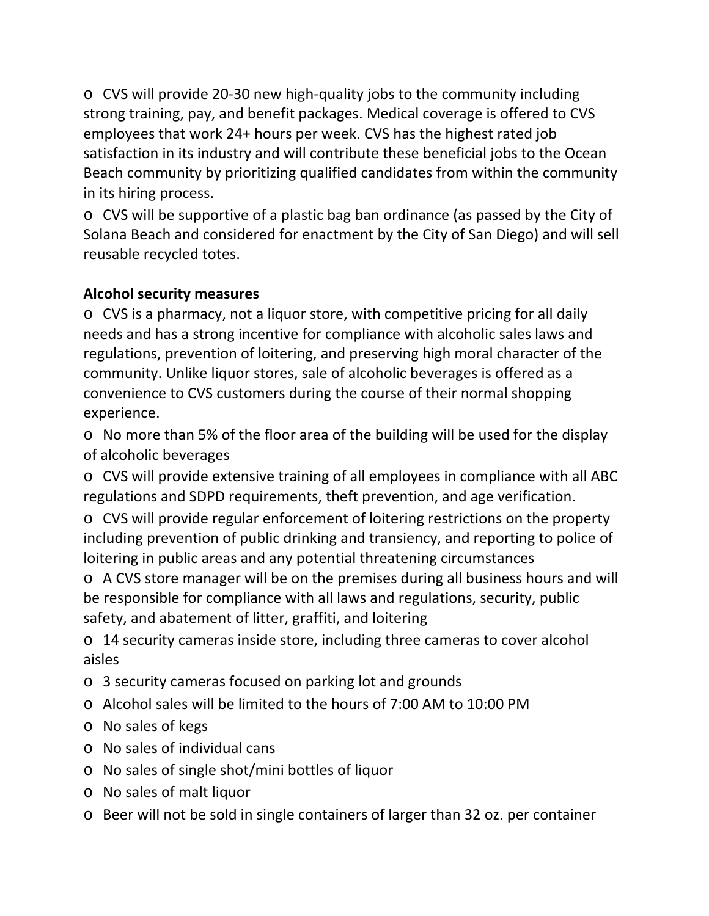o CVS will provide 20-30 new high-quality jobs to the community including strong training, pay, and benefit packages. Medical coverage is offered to CVS employees that work 24+ hours per week. CVS has the highest rated job satisfaction in its industry and will contribute these beneficial jobs to the Ocean Beach community by prioritizing qualified candidates from within the community in its hiring process.

o CVS will be supportive of a plastic bag ban ordinance (as passed by the City of Solana Beach and considered for enactment by the City of San Diego) and will sell reusable recycled totes.

## **Alcohol security measures**

o CVS is a pharmacy, not a liquor store, with competitive pricing for all daily needs and has a strong incentive for compliance with alcoholic sales laws and regulations, prevention of loitering, and preserving high moral character of the community. Unlike liquor stores, sale of alcoholic beverages is offered as a convenience to CVS customers during the course of their normal shopping experience.

o No more than 5% of the floor area of the building will be used for the display of alcoholic beverages

o CVS will provide extensive training of all employees in compliance with all ABC regulations and SDPD requirements, theft prevention, and age verification.

o CVS will provide regular enforcement of loitering restrictions on the property including prevention of public drinking and transiency, and reporting to police of loitering in public areas and any potential threatening circumstances

o A CVS store manager will be on the premises during all business hours and will be responsible for compliance with all laws and regulations, security, public safety, and abatement of litter, graffiti, and loitering

o 14 security cameras inside store, including three cameras to cover alcohol aisles

- o 3 security cameras focused on parking lot and grounds
- o Alcohol sales will be limited to the hours of 7:00 AM to 10:00 PM
- o No sales of kegs
- o No sales of individual cans
- o No sales of single shot/mini bottles of liquor
- o No sales of malt liquor
- o Beer will not be sold in single containers of larger than 32 oz. per container